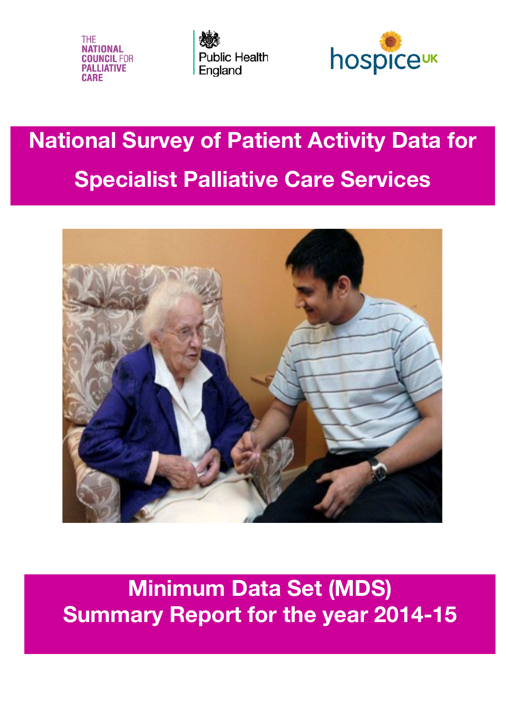

**Public Health** England



# National Survey of Patient Activity Data for Specialist Palliative Care Services



Minimum Data Set (MDS) Summary Report for the year 2014-15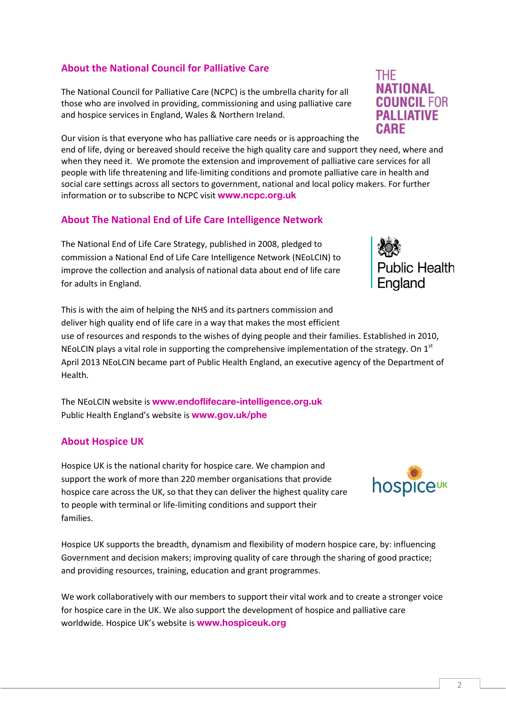# **About the National Council for Palliative Care**

The National Council for Palliative Care (NCPC) is the umbrella charity for all those who are involved in providing, commissioning and using palliative care and hospice services in England, Wales & Northern Ireland.

Our vision is that everyone who has palliative care needs or is approaching the end of life, dying or bereaved should receive the high quality care and support they need, where and when they need it. We promote the extension and improvement of palliative care services for all people with life threatening and life-limiting conditions and promote palliative care in health and social care settings across all sectors to government, national and local policy makers. For further information or to subscribe to NCPC visit [www.ncpc.org.uk](http://www.ncpc.org.uk/)

### **About The National End of Life Care Intelligence Network**

The National End of Life Care Strategy, published in 2008, pledged to commission a National End of Life Care Intelligence Network (NEoLCIN) to improve the collection and analysis of national data about end of life care for adults in England.

This is with the aim of helping the NHS and its partners commission and deliver high quality end of life care in a way that makes the most efficient

use of resources and responds to the wishes of dying people and their families. Established in 2010, NEOLCIN plays a vital role in supporting the comprehensive implementation of the strategy. On  $1<sup>st</sup>$ April 2013 NEoLCIN became part of Public Health England, an executive agency of the Department of Health.

The NEoLCIN website is [www.endoflifecare-intelligence.org.uk](http://www.endoflifecare-intelligence.org.uk/home.aspx) Public Health England's website is **[www.gov.uk/phe](http://www.gov.uk/phe)** 

### **About Hospice UK**

Hospice UK is the national charity for hospice care. We champion and support the work of more than 220 member organisations that provide hospice care across the UK, so that they can deliver the highest quality care to people with terminal or life-limiting conditions and support their families.

Hospice UK supports the breadth, dynamism and flexibility of modern hospice care, by: influencing Government and decision makers; improving quality of care through the sharing of good practice; and providing resources, training, education and grant programmes.

We work collaboratively with our members to support their vital work and to create a stronger voice for hospice care in the UK. We also support the development of hospice and palliative care worldwide. Hospice UK's website is **www.hospiceuk.org** 





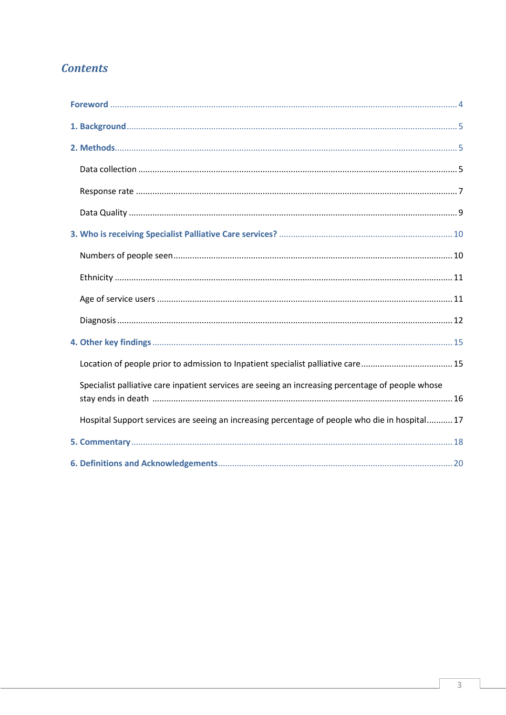# **Contents**

| Location of people prior to admission to Inpatient specialist palliative care15                   |
|---------------------------------------------------------------------------------------------------|
| Specialist palliative care inpatient services are seeing an increasing percentage of people whose |
| Hospital Support services are seeing an increasing percentage of people who die in hospital 17    |
|                                                                                                   |
|                                                                                                   |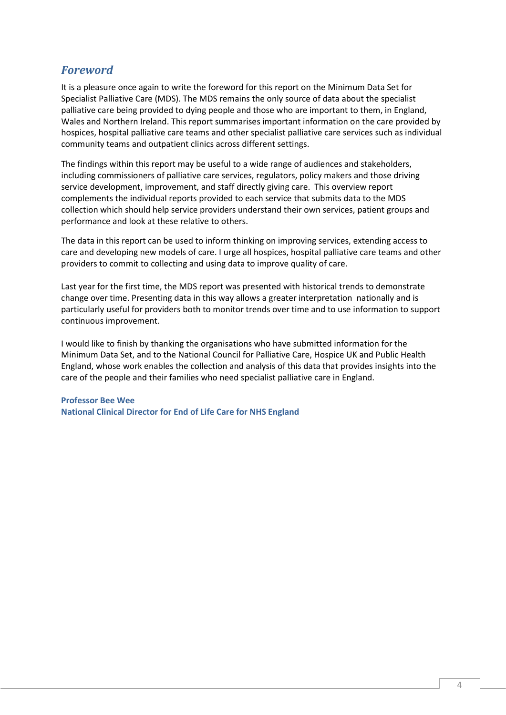# <span id="page-3-0"></span>*Foreword*

It is a pleasure once again to write the foreword for this report on the Minimum Data Set for Specialist Palliative Care (MDS). The MDS remains the only source of data about the specialist palliative care being provided to dying people and those who are important to them, in England, Wales and Northern Ireland. This report summarises important information on the care provided by hospices, hospital palliative care teams and other specialist palliative care services such as individual community teams and outpatient clinics across different settings.

The findings within this report may be useful to a wide range of audiences and stakeholders, including commissioners of palliative care services, regulators, policy makers and those driving service development, improvement, and staff directly giving care. This overview report complements the individual reports provided to each service that submits data to the MDS collection which should help service providers understand their own services, patient groups and performance and look at these relative to others.

The data in this report can be used to inform thinking on improving services, extending access to care and developing new models of care. I urge all hospices, hospital palliative care teams and other providers to commit to collecting and using data to improve quality of care.

Last year for the first time, the MDS report was presented with historical trends to demonstrate change over time. Presenting data in this way allows a greater interpretation nationally and is particularly useful for providers both to monitor trends over time and to use information to support continuous improvement.

I would like to finish by thanking the organisations who have submitted information for the Minimum Data Set, and to the National Council for Palliative Care, Hospice UK and Public Health England, whose work enables the collection and analysis of this data that provides insights into the care of the people and their families who need specialist palliative care in England.

### **Professor Bee Wee National Clinical Director for End of Life Care for NHS England**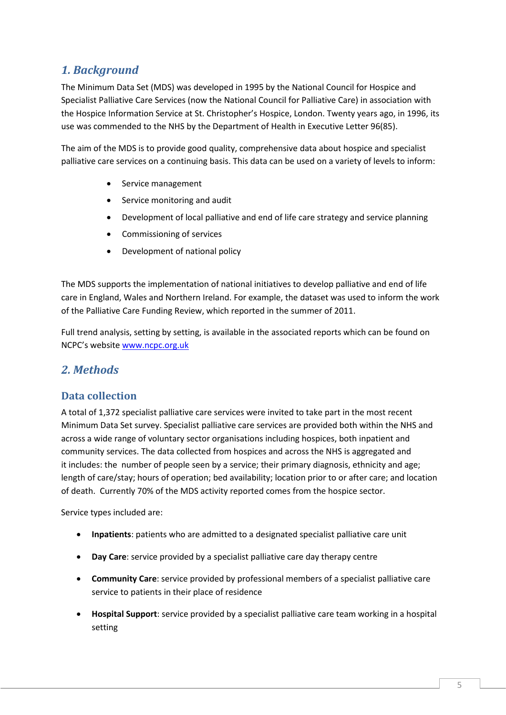# <span id="page-4-0"></span>*1. Background*

The Minimum Data Set (MDS) was developed in 1995 by the National Council for Hospice and Specialist Palliative Care Services (now the National Council for Palliative Care) in association with the Hospice Information Service at St. Christopher's Hospice, London. Twenty years ago, in 1996, its use was commended to the NHS by the Department of Health in Executive Letter 96(85).

The aim of the MDS is to provide good quality, comprehensive data about hospice and specialist palliative care services on a continuing basis. This data can be used on a variety of levels to inform:

- Service management
- Service monitoring and audit
- Development of local palliative and end of life care strategy and service planning
- Commissioning of services
- Development of national policy

The MDS supports the implementation of national initiatives to develop palliative and end of life care in England, Wales and Northern Ireland. For example, the dataset was used to inform the work of the Palliative Care Funding Review, which reported in the summer of 2011.

Full trend analysis, setting by setting, is available in the associated reports which can be found on NCPC's websit[e www.ncpc.org.uk](http://www.ncpc.org.uk/)

# <span id="page-4-1"></span>*2. Methods*

### <span id="page-4-2"></span>**Data collection**

A total of 1,372 specialist palliative care services were invited to take part in the most recent Minimum Data Set survey. Specialist palliative care services are provided both within the NHS and across a wide range of voluntary sector organisations including hospices, both inpatient and community services. The data collected from hospices and across the NHS is aggregated and it includes: the number of people seen by a service; their primary diagnosis, ethnicity and age; length of care/stay; hours of operation; bed availability; location prior to or after care; and location of death. Currently 70% of the MDS activity reported comes from the hospice sector.

Service types included are:

- **Inpatients**: patients who are admitted to a designated specialist palliative care unit
- **Day Care**: service provided by a specialist palliative care day therapy centre
- **Community Care**: service provided by professional members of a specialist palliative care service to patients in their place of residence
- **Hospital Support**: service provided by a specialist palliative care team working in a hospital setting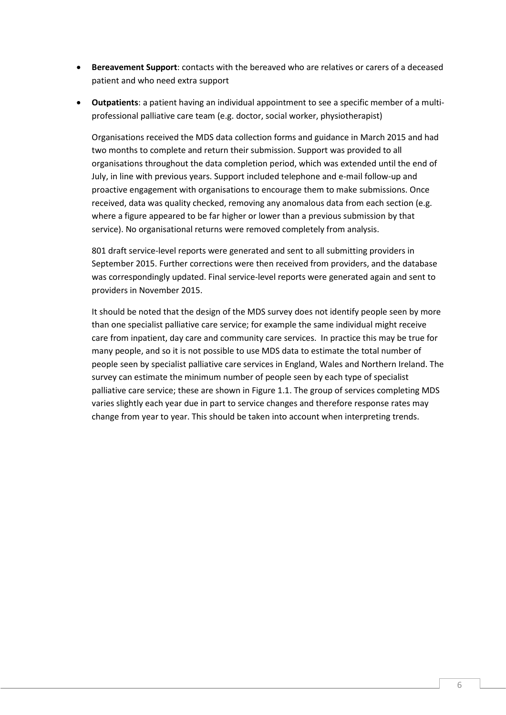- **Bereavement Support**: contacts with the bereaved who are relatives or carers of a deceased patient and who need extra support
- **Outpatients**: a patient having an individual appointment to see a specific member of a multiprofessional palliative care team (e.g. doctor, social worker, physiotherapist)

Organisations received the MDS data collection forms and guidance in March 2015 and had two months to complete and return their submission. Support was provided to all organisations throughout the data completion period, which was extended until the end of July, in line with previous years. Support included telephone and e-mail follow-up and proactive engagement with organisations to encourage them to make submissions. Once received, data was quality checked, removing any anomalous data from each section (e.g. where a figure appeared to be far higher or lower than a previous submission by that service). No organisational returns were removed completely from analysis.

801 draft service-level reports were generated and sent to all submitting providers in September 2015. Further corrections were then received from providers, and the database was correspondingly updated. Final service-level reports were generated again and sent to providers in November 2015.

It should be noted that the design of the MDS survey does not identify people seen by more than one specialist palliative care service; for example the same individual might receive care from inpatient, day care and community care services. In practice this may be true for many people, and so it is not possible to use MDS data to estimate the total number of people seen by specialist palliative care services in England, Wales and Northern Ireland. The survey can estimate the minimum number of people seen by each type of specialist palliative care service; these are shown in Figure 1.1. The group of services completing MDS varies slightly each year due in part to service changes and therefore response rates may change from year to year. This should be taken into account when interpreting trends.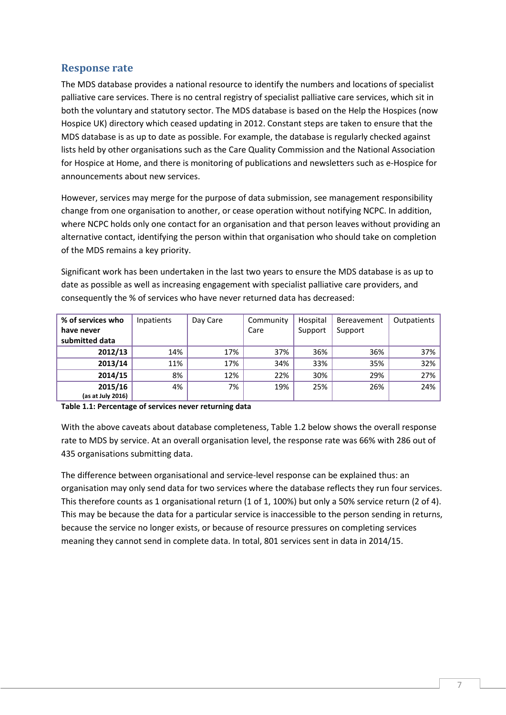### <span id="page-6-0"></span>**Response rate**

The MDS database provides a national resource to identify the numbers and locations of specialist palliative care services. There is no central registry of specialist palliative care services, which sit in both the voluntary and statutory sector. The MDS database is based on the Help the Hospices (now Hospice UK) directory which ceased updating in 2012. Constant steps are taken to ensure that the MDS database is as up to date as possible. For example, the database is regularly checked against lists held by other organisations such as the Care Quality Commission and the National Association for Hospice at Home, and there is monitoring of publications and newsletters such as e-Hospice for announcements about new services.

However, services may merge for the purpose of data submission, see management responsibility change from one organisation to another, or cease operation without notifying NCPC. In addition, where NCPC holds only one contact for an organisation and that person leaves without providing an alternative contact, identifying the person within that organisation who should take on completion of the MDS remains a key priority.

Significant work has been undertaken in the last two years to ensure the MDS database is as up to date as possible as well as increasing engagement with specialist palliative care providers, and consequently the % of services who have never returned data has decreased:

| % of services who | Inpatients | Day Care | Community | Hospital | Bereavement | Outpatients |
|-------------------|------------|----------|-----------|----------|-------------|-------------|
| have never        |            |          | Care      | Support  | Support     |             |
| submitted data    |            |          |           |          |             |             |
| 2012/13           | 14%        | 17%      | 37%       | 36%      | 36%         | 37%         |
| 2013/14           | 11%        | 17%      | 34%       | 33%      | 35%         | 32%         |
| 2014/15           | 8%         | 12%      | 22%       | 30%      | 29%         | 27%         |
| 2015/16           | 4%         | 7%       | 19%       | 25%      | 26%         | 24%         |
| (as at July 2016) |            |          |           |          |             |             |

**Table 1.1: Percentage of services never returning data**

With the above caveats about database completeness, Table 1.2 below shows the overall response rate to MDS by service. At an overall organisation level, the response rate was 66% with 286 out of 435 organisations submitting data.

The difference between organisational and service-level response can be explained thus: an organisation may only send data for two services where the database reflects they run four services. This therefore counts as 1 organisational return (1 of 1, 100%) but only a 50% service return (2 of 4). This may be because the data for a particular service is inaccessible to the person sending in returns, because the service no longer exists, or because of resource pressures on completing services meaning they cannot send in complete data. In total, 801 services sent in data in 2014/15.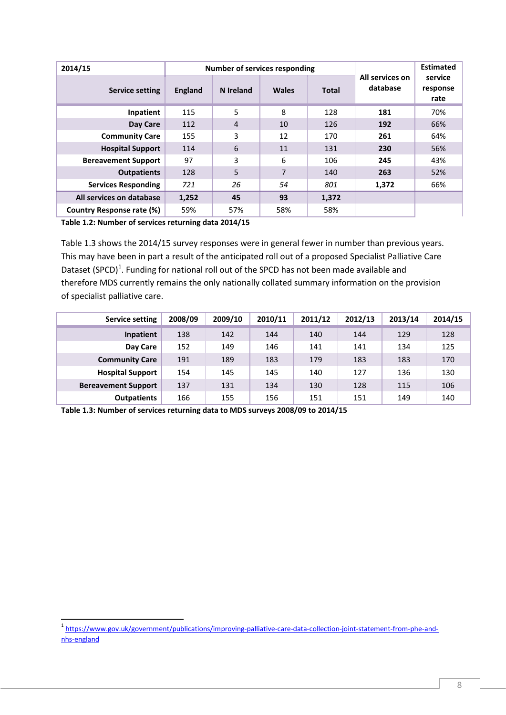| 2014/15                    |                | <b>Number of services responding</b> |                | <b>Estimated</b> |                             |                             |
|----------------------------|----------------|--------------------------------------|----------------|------------------|-----------------------------|-----------------------------|
| <b>Service setting</b>     | <b>England</b> | N Ireland                            | <b>Wales</b>   | Total            | All services on<br>database | service<br>response<br>rate |
| Inpatient                  | 115            | 5                                    | 8              | 128              | 181                         | 70%                         |
| Day Care                   | 112            | 4                                    | 10             | 126              | 192                         | 66%                         |
| <b>Community Care</b>      | 155            | 3                                    | 12             | 170              | 261                         | 64%                         |
| <b>Hospital Support</b>    | 114            | 6                                    | 11             | 131              | 230                         | 56%                         |
| <b>Bereavement Support</b> | 97             | 3                                    | 6              | 106              | 245                         | 43%                         |
| <b>Outpatients</b>         | 128            | 5                                    | $\overline{7}$ | 140              | 263                         | 52%                         |
| <b>Services Responding</b> | 721            | 26                                   | 54             | 801              | 1,372                       | 66%                         |
| All services on database   | 1,252          | 45                                   | 93             | 1,372            |                             |                             |
| Country Response rate (%)  | 59%            | 57%                                  | 58%            | 58%              |                             |                             |

**Table 1.2: Number of services returning data 2014/15**

Table 1.3 shows the 2014/15 survey responses were in general fewer in number than previous years. This may have been in part a result of the anticipated roll out of a proposed Specialist Palliative Care Dataset (SPCD)<sup>[1](#page-7-0)</sup>. Funding for national roll out of the SPCD has not been made available and therefore MDS currently remains the only nationally collated summary information on the provision of specialist palliative care.

| <b>Service setting</b>     | 2008/09 | 2009/10 | 2010/11 | 2011/12 | 2012/13 | 2013/14 | 2014/15 |
|----------------------------|---------|---------|---------|---------|---------|---------|---------|
| Inpatient                  | 138     | 142     | 144     | 140     | 144     | 129     | 128     |
| Day Care                   | 152     | 149     | 146     | 141     | 141     | 134     | 125     |
| <b>Community Care</b>      | 191     | 189     | 183     | 179     | 183     | 183     | 170     |
| <b>Hospital Support</b>    | 154     | 145     | 145     | 140     | 127     | 136     | 130     |
| <b>Bereavement Support</b> | 137     | 131     | 134     | 130     | 128     | 115     | 106     |
| <b>Outpatients</b>         | 166     | 155     | 156     | 151     | 151     | 149     | 140     |

**Table 1.3: Number of services returning data to MDS surveys 2008/09 to 2014/15**

<span id="page-7-0"></span> <sup>1</sup> [https://www.gov.uk/government/publications/improving-palliative-care-data-collection-joint-statement-from-phe-and](https://www.gov.uk/government/publications/improving-palliative-care-data-collection-joint-statement-from-phe-and-nhs-england)[nhs-england](https://www.gov.uk/government/publications/improving-palliative-care-data-collection-joint-statement-from-phe-and-nhs-england)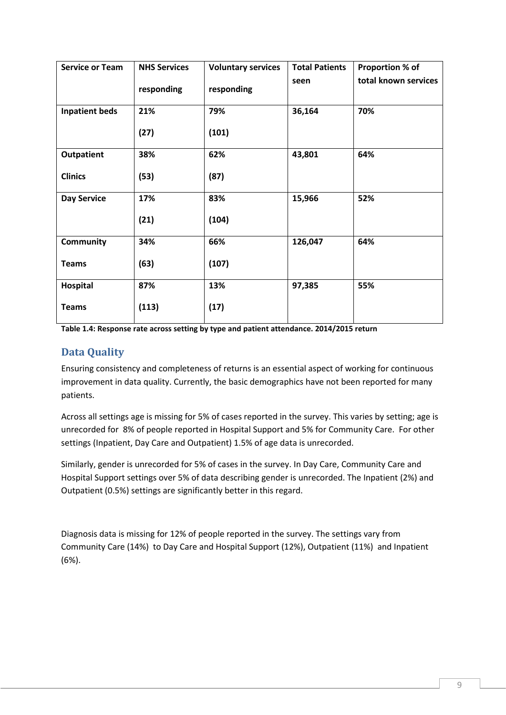| <b>Service or Team</b> | <b>NHS Services</b> | <b>Voluntary services</b> | <b>Total Patients</b> | Proportion % of      |
|------------------------|---------------------|---------------------------|-----------------------|----------------------|
|                        | responding          | responding                | seen                  | total known services |
| <b>Inpatient beds</b>  | 21%                 | 79%                       | 36,164                | 70%                  |
|                        | (27)                | (101)                     |                       |                      |
| <b>Outpatient</b>      | 38%                 | 62%                       | 43,801                | 64%                  |
| <b>Clinics</b>         | (53)                | (87)                      |                       |                      |
| <b>Day Service</b>     | 17%                 | 83%                       | 15,966                | 52%                  |
|                        | (21)                | (104)                     |                       |                      |
| <b>Community</b>       | 34%                 | 66%                       | 126,047               | 64%                  |
| <b>Teams</b>           | (63)                | (107)                     |                       |                      |
| Hospital               | 87%                 | 13%                       | 97,385                | 55%                  |
| <b>Teams</b>           | (113)               | (17)                      |                       |                      |

**Table 1.4: Response rate across setting by type and patient attendance. 2014/2015 return**

# <span id="page-8-0"></span>**Data Quality**

Ensuring consistency and completeness of returns is an essential aspect of working for continuous improvement in data quality. Currently, the basic demographics have not been reported for many patients.

Across all settings age is missing for 5% of cases reported in the survey. This varies by setting; age is unrecorded for 8% of people reported in Hospital Support and 5% for Community Care. For other settings (Inpatient, Day Care and Outpatient) 1.5% of age data is unrecorded.

Similarly, gender is unrecorded for 5% of cases in the survey. In Day Care, Community Care and Hospital Support settings over 5% of data describing gender is unrecorded. The Inpatient (2%) and Outpatient (0.5%) settings are significantly better in this regard.

Diagnosis data is missing for 12% of people reported in the survey. The settings vary from Community Care (14%) to Day Care and Hospital Support (12%), Outpatient (11%) and Inpatient (6%).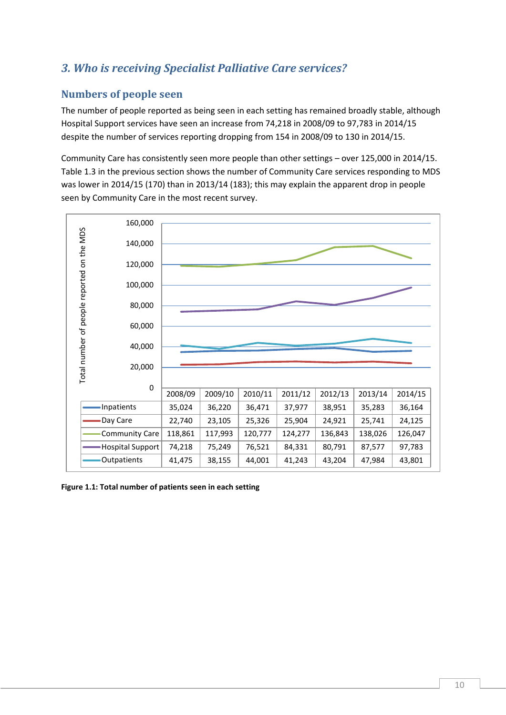# <span id="page-9-0"></span>*3. Who is receiving Specialist Palliative Care services?*

# <span id="page-9-1"></span>**Numbers of people seen**

The number of people reported as being seen in each setting has remained broadly stable, although Hospital Support services have seen an increase from 74,218 in 2008/09 to 97,783 in 2014/15 despite the number of services reporting dropping from 154 in 2008/09 to 130 in 2014/15.

Community Care has consistently seen more people than other settings – over 125,000 in 2014/15. Table 1.3 in the previous section shows the number of Community Care services responding to MDS was lower in 2014/15 (170) than in 2013/14 (183); this may explain the apparent drop in people seen by Community Care in the most recent survey.



**Figure 1.1: Total number of patients seen in each setting**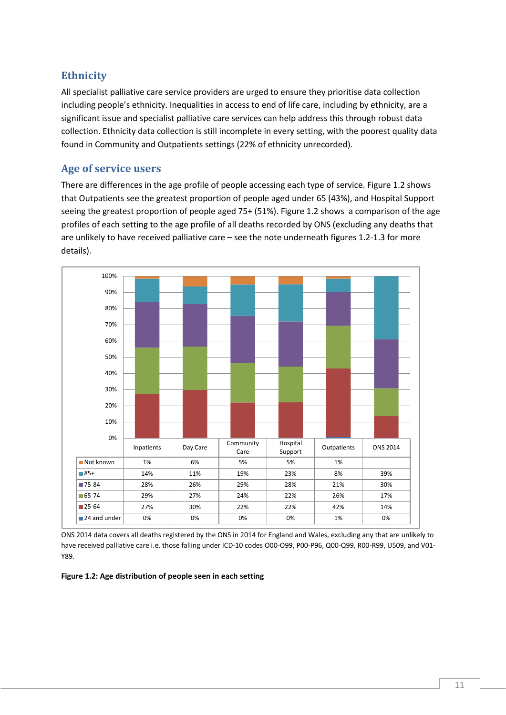# <span id="page-10-0"></span>**Ethnicity**

All specialist palliative care service providers are urged to ensure they prioritise data collection including people's ethnicity. Inequalities in access to end of life care, including by ethnicity, are a significant issue and specialist palliative care services can help address this through robust data collection. Ethnicity data collection is still incomplete in every setting, with the poorest quality data found in Community and Outpatients settings (22% of ethnicity unrecorded).

## <span id="page-10-1"></span>**Age of service users**

There are differences in the age profile of people accessing each type of service. Figure 1.2 shows that Outpatients see the greatest proportion of people aged under 65 (43%), and Hospital Support seeing the greatest proportion of people aged 75+ (51%). Figure 1.2 shows a comparison of the age profiles of each setting to the age profile of all deaths recorded by ONS (excluding any deaths that are unlikely to have received palliative care – see the note underneath figures 1.2-1.3 for more details).



ONS 2014 data covers all deaths registered by the ONS in 2014 for England and Wales, excluding any that are unlikely to have received palliative care i.e. those falling under ICD-10 codes O00-O99, P00-P96, Q00-Q99, R00-R99, U509, and V01- Y89.

**Figure 1.2: Age distribution of people seen in each setting**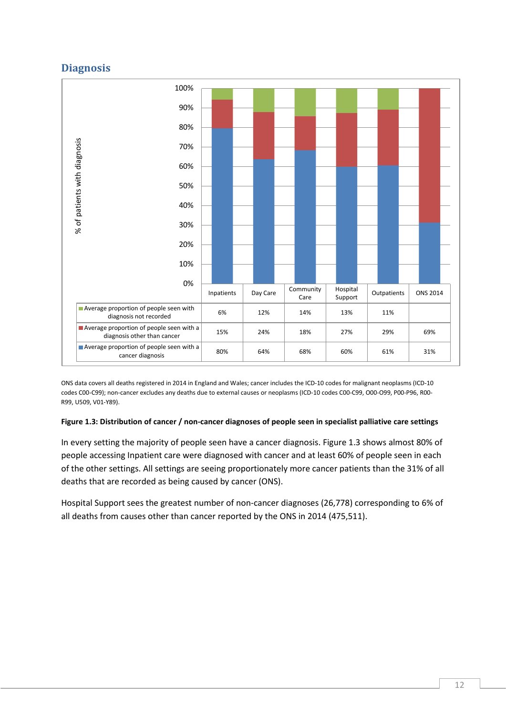## <span id="page-11-0"></span>**Diagnosis**



ONS data covers all deaths registered in 2014 in England and Wales; cancer includes the ICD-10 codes for malignant neoplasms (ICD-10 codes C00-C99); non-cancer excludes any deaths due to external causes or neoplasms (ICD-10 codes C00-C99, O00-O99, P00-P96, R00- R99, U509, V01-Y89).

#### **Figure 1.3: Distribution of cancer / non-cancer diagnoses of people seen in specialist palliative care settings**

In every setting the majority of people seen have a cancer diagnosis. Figure 1.3 shows almost 80% of people accessing Inpatient care were diagnosed with cancer and at least 60% of people seen in each of the other settings. All settings are seeing proportionately more cancer patients than the 31% of all deaths that are recorded as being caused by cancer (ONS).

Hospital Support sees the greatest number of non-cancer diagnoses (26,778) corresponding to 6% of all deaths from causes other than cancer reported by the ONS in 2014 (475,511).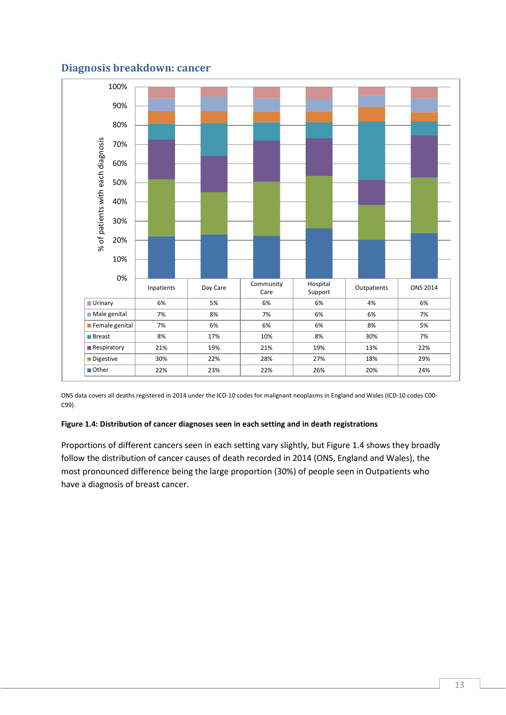### **Diagnosis breakdown: cancer**



ONS data covers all deaths registered in 2014 under the ICD-10 codes for malignant neoplasms in England and Wales (ICD-10 codes C00- C99).

#### **Figure 1.4: Distribution of cancer diagnoses seen in each setting and in death registrations**

Proportions of different cancers seen in each setting vary slightly, but Figure 1.4 shows they broadly follow the distribution of cancer causes of death recorded in 2014 (ONS, England and Wales), the most pronounced difference being the large proportion (30%) of people seen in Outpatients who have a diagnosis of breast cancer.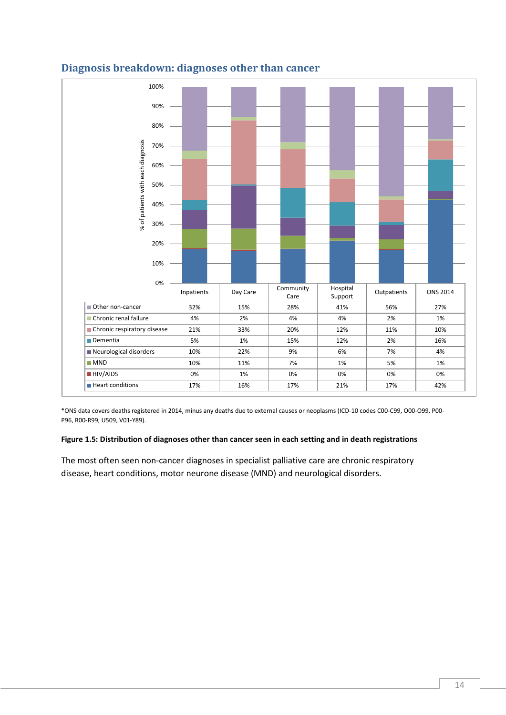

### **Diagnosis breakdown: diagnoses other than cancer**

\*ONS data covers deaths registered in 2014, minus any deaths due to external causes or neoplasms (ICD-10 codes C00-C99, O00-O99, P00- P96, R00-R99, U509, V01-Y89).

#### **Figure 1.5: Distribution of diagnoses other than cancer seen in each setting and in death registrations**

The most often seen non-cancer diagnoses in specialist palliative care are chronic respiratory disease, heart conditions, motor neurone disease (MND) and neurological disorders.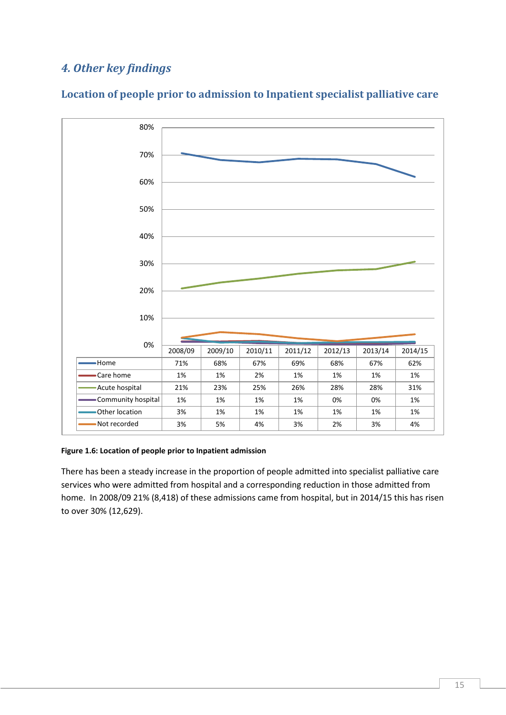# <span id="page-14-0"></span>*4. Other key findings*



# <span id="page-14-1"></span>**Location of people prior to admission to Inpatient specialist palliative care**

#### **Figure 1.6: Location of people prior to Inpatient admission**

There has been a steady increase in the proportion of people admitted into specialist palliative care services who were admitted from hospital and a corresponding reduction in those admitted from home. In 2008/09 21% (8,418) of these admissions came from hospital, but in 2014/15 this has risen to over 30% (12,629).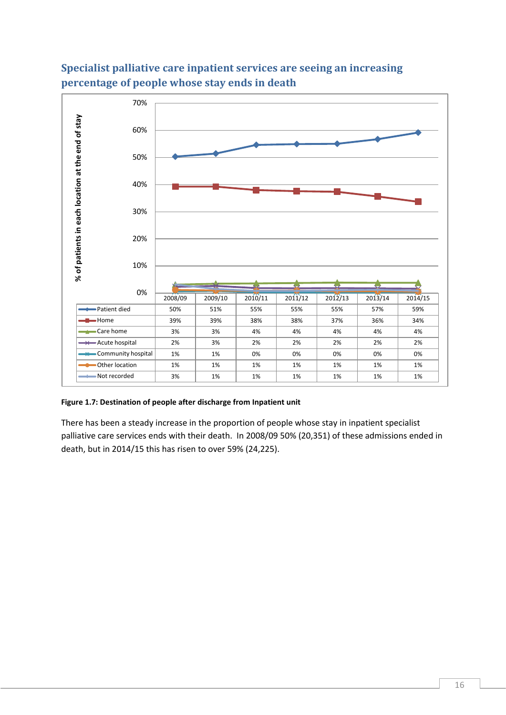

# **Specialist palliative care inpatient services are seeing an increasing percentage of people whose stay ends in death**

**Figure 1.7: Destination of people after discharge from Inpatient unit**

There has been a steady increase in the proportion of people whose stay in inpatient specialist palliative care services ends with their death. In 2008/09 50% (20,351) of these admissions ended in death, but in 2014/15 this has risen to over 59% (24,225).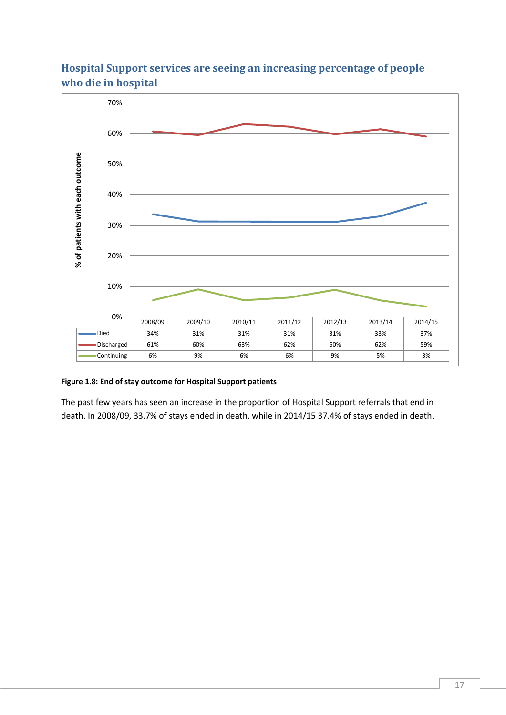# <span id="page-16-0"></span>**Hospital Support services are seeing an increasing percentage of people who die in hospital**



#### **Figure 1.8: End of stay outcome for Hospital Support patients**

The past few years has seen an increase in the proportion of Hospital Support referrals that end in death. In 2008/09, 33.7% of stays ended in death, while in 2014/15 37.4% of stays ended in death.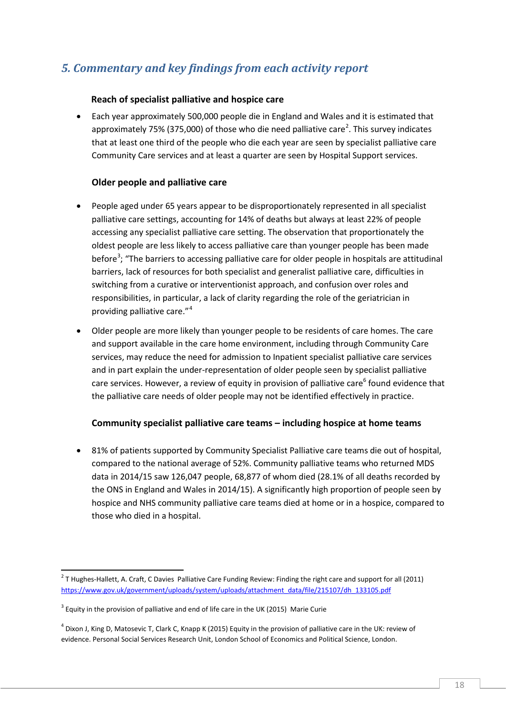# <span id="page-17-0"></span>*5. Commentary and key findings from each activity report*

### **Reach of specialist palliative and hospice care**

• Each year approximately 500,000 people die in England and Wales and it is estimated that approximately 75% (375,000) of those who die need palliative care<sup>[2](#page-17-1)</sup>. This survey indicates that at least one third of the people who die each year are seen by specialist palliative care Community Care services and at least a quarter are seen by Hospital Support services.

### **Older people and palliative care**

- People aged under 65 years appear to be disproportionately represented in all specialist palliative care settings, accounting for 14% of deaths but always at least 22% of people accessing any specialist palliative care setting. The observation that proportionately the oldest people are less likely to access palliative care than younger people has been made before<sup>[3](#page-17-2)</sup>; "The barriers to accessing palliative care for older people in hospitals are attitudinal barriers, lack of resources for both specialist and generalist palliative care, difficulties in switching from a curative or interventionist approach, and confusion over roles and responsibilities, in particular, a lack of clarity regarding the role of the geriatrician in providing palliative care."[4](#page-17-3)
- Older people are more likely than younger people to be residents of care homes. The care and support available in the care home environment, including through Community Care services, may reduce the need for admission to Inpatient specialist palliative care services and in part explain the under-representation of older people seen by specialist palliative care services. However, a review of equity in provision of palliative care<sup>6</sup> found evidence that the palliative care needs of older people may not be identified effectively in practice.

### **Community specialist palliative care teams – including hospice at home teams**

• 81% of patients supported by Community Specialist Palliative care teams die out of hospital, compared to the national average of 52%. Community palliative teams who returned MDS data in 2014/15 saw 126,047 people, 68,877 of whom died (28.1% of all deaths recorded by the ONS in England and Wales in 2014/15). A significantly high proportion of people seen by hospice and NHS community palliative care teams died at home or in a hospice, compared to those who died in a hospital.

<span id="page-17-1"></span> $2$  T Hughes-Hallett, A. Craft, C Davies Palliative Care Funding Review: Finding the right care and support for all (2011) [https://www.gov.uk/government/uploads/system/uploads/attachment\\_data/file/215107/dh\\_133105.pdf](https://www.gov.uk/government/uploads/system/uploads/attachment_data/file/215107/dh_133105.pdf)

<span id="page-17-2"></span> $3$  Equity in the provision of palliative and end of life care in the UK (2015) Marie Curie

<span id="page-17-3"></span> $^4$  Dixon J, King D, Matosevic T, Clark C, Knapp K (2015) Equity in the provision of palliative care in the UK: review of evidence. Personal Social Services Research Unit, London School of Economics and Political Science, London.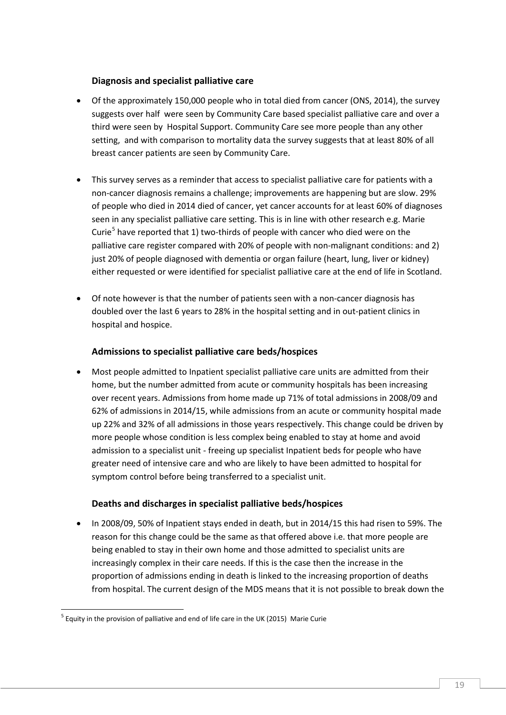### **Diagnosis and specialist palliative care**

- Of the approximately 150,000 people who in total died from cancer (ONS, 2014), the survey suggests over half were seen by Community Care based specialist palliative care and over a third were seen by Hospital Support. Community Care see more people than any other setting, and with comparison to mortality data the survey suggests that at least 80% of all breast cancer patients are seen by Community Care.
- This survey serves as a reminder that access to specialist palliative care for patients with a non-cancer diagnosis remains a challenge; improvements are happening but are slow. 29% of people who died in 2014 died of cancer, yet cancer accounts for at least 60% of diagnoses seen in any specialist palliative care setting. This is in line with other research e.g. Marie Curie<sup>[5](#page-18-0)</sup> have reported that 1) two-thirds of people with cancer who died were on the palliative care register compared with 20% of people with non-malignant conditions: and 2) just 20% of people diagnosed with dementia or organ failure (heart, lung, liver or kidney) either requested or were identified for specialist palliative care at the end of life in Scotland.
- Of note however is that the number of patients seen with a non-cancer diagnosis has doubled over the last 6 years to 28% in the hospital setting and in out-patient clinics in hospital and hospice.

### **Admissions to specialist palliative care beds/hospices**

• Most people admitted to Inpatient specialist palliative care units are admitted from their home, but the number admitted from acute or community hospitals has been increasing over recent years. Admissions from home made up 71% of total admissions in 2008/09 and 62% of admissions in 2014/15, while admissions from an acute or community hospital made up 22% and 32% of all admissions in those years respectively. This change could be driven by more people whose condition is less complex being enabled to stay at home and avoid admission to a specialist unit - freeing up specialist Inpatient beds for people who have greater need of intensive care and who are likely to have been admitted to hospital for symptom control before being transferred to a specialist unit.

### **Deaths and discharges in specialist palliative beds/hospices**

• In 2008/09, 50% of Inpatient stays ended in death, but in 2014/15 this had risen to 59%. The reason for this change could be the same as that offered above i.e. that more people are being enabled to stay in their own home and those admitted to specialist units are increasingly complex in their care needs. If this is the case then the increase in the proportion of admissions ending in death is linked to the increasing proportion of deaths from hospital. The current design of the MDS means that it is not possible to break down the

<span id="page-18-0"></span> $5$  Equity in the provision of palliative and end of life care in the UK (2015) Marie Curie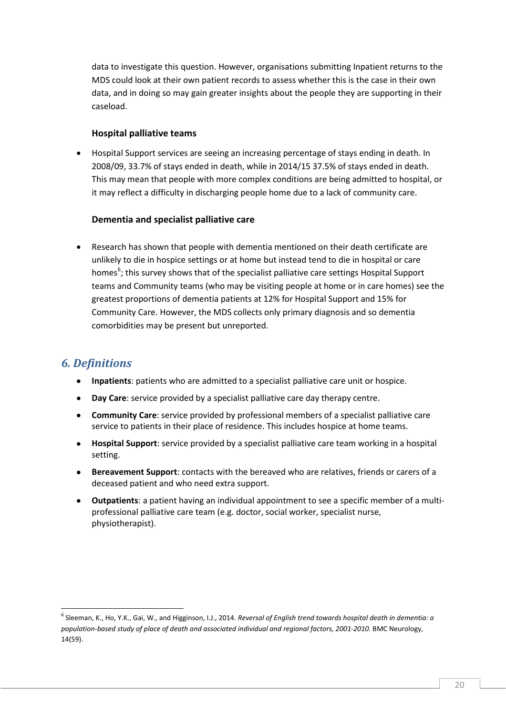data to investigate this question. However, organisations submitting Inpatient returns to the MDS could look at their own patient records to assess whether this is the case in their own data, and in doing so may gain greater insights about the people they are supporting in their caseload.

### **Hospital palliative teams**

• Hospital Support services are seeing an increasing percentage of stays ending in death. In 2008/09, 33.7% of stays ended in death, while in 2014/15 37.5% of stays ended in death. This may mean that people with more complex conditions are being admitted to hospital, or it may reflect a difficulty in discharging people home due to a lack of community care.

### **Dementia and specialist palliative care**

• Research has shown that people with dementia mentioned on their death certificate are unlikely to die in hospice settings or at home but instead tend to die in hospital or care homes<sup>[6](#page-19-0)</sup>; this survey shows that of the specialist palliative care settings Hospital Support teams and Community teams (who may be visiting people at home or in care homes) see the greatest proportions of dementia patients at 12% for Hospital Support and 15% for Community Care. However, the MDS collects only primary diagnosis and so dementia comorbidities may be present but unreported.

# *6. Definitions*

- **Inpatients**: patients who are admitted to a specialist palliative care unit or hospice.
- **Day Care**: service provided by a specialist palliative care day therapy centre.
- **Community Care**: service provided by professional members of a specialist palliative care service to patients in their place of residence. This includes hospice at home teams.
- **Hospital Support**: service provided by a specialist palliative care team working in a hospital setting.
- **Bereavement Support**: contacts with the bereaved who are relatives, friends or carers of a deceased patient and who need extra support.
- **Outpatients**: a patient having an individual appointment to see a specific member of a multiprofessional palliative care team (e.g. doctor, social worker, specialist nurse, physiotherapist).

<span id="page-19-0"></span> <sup>6</sup> Sleeman, K., Ho, Y.K., Gai, W., and Higginson, I.J., 2014. *Reversal of English trend towards hospital death in dementia: a population-based study of place of death and associated individual and regional factors, 2001-2010.* BMC Neurology, 14(59).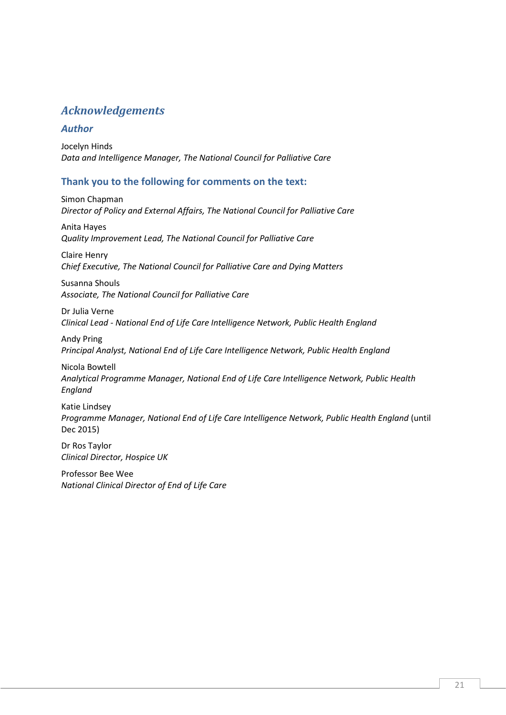# *Acknowledgements*

### *Author*

Jocelyn Hinds *Data and Intelligence Manager, The National Council for Palliative Care*

### **Thank you to the following for comments on the text:**

Simon Chapman *Director of Policy and External Affairs, The National Council for Palliative Care* Anita Hayes *Quality Improvement Lead, The National Council for Palliative Care* Claire Henry *Chief Executive, The National Council for Palliative Care and Dying Matters* Susanna Shouls *Associate, The National Council for Palliative Care* Dr Julia Verne *Clinical Lead - National End of Life Care Intelligence Network, Public Health England* Andy Pring *Principal Analyst, National End of Life Care Intelligence Network, Public Health England* Nicola Bowtell *Analytical Programme Manager, National End of Life Care Intelligence Network, Public Health England*

Katie Lindsey *Programme Manager, National End of Life Care Intelligence Network, Public Health England* (until Dec 2015)

Dr Ros Taylor *Clinical Director, Hospice UK*

Professor Bee Wee *National Clinical Director of End of Life Care*